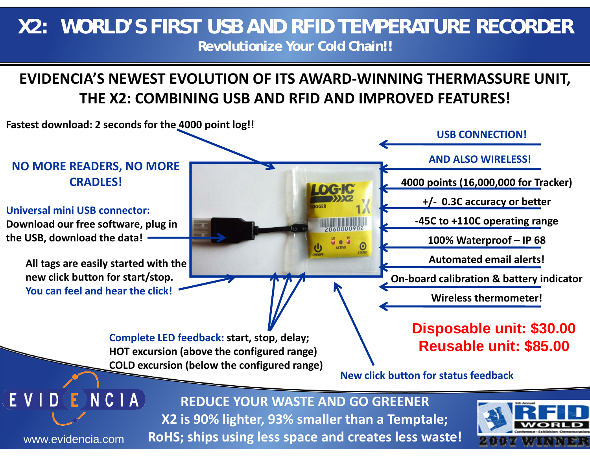## **X2: WORLD'S FIRST USB AND RFID TEMPERATURE RECORDER Revolutionize Your Cold Chain!!**

## **EVIDENCIA'S NEWEST EVOLUTION OF ITS AWARD-WINNING THERMASSURE UNIT, THE X2: COMBINING USB AND RFID AND IMPROVED FEATURES!**



EVIDENCIA **REDUCE YOUR WASTE AND GO GREENERX2 is 90% lighter, 93% smaller than a Temptale; RoHS; ships using less space and creates less waste!**



www.evidencia.com